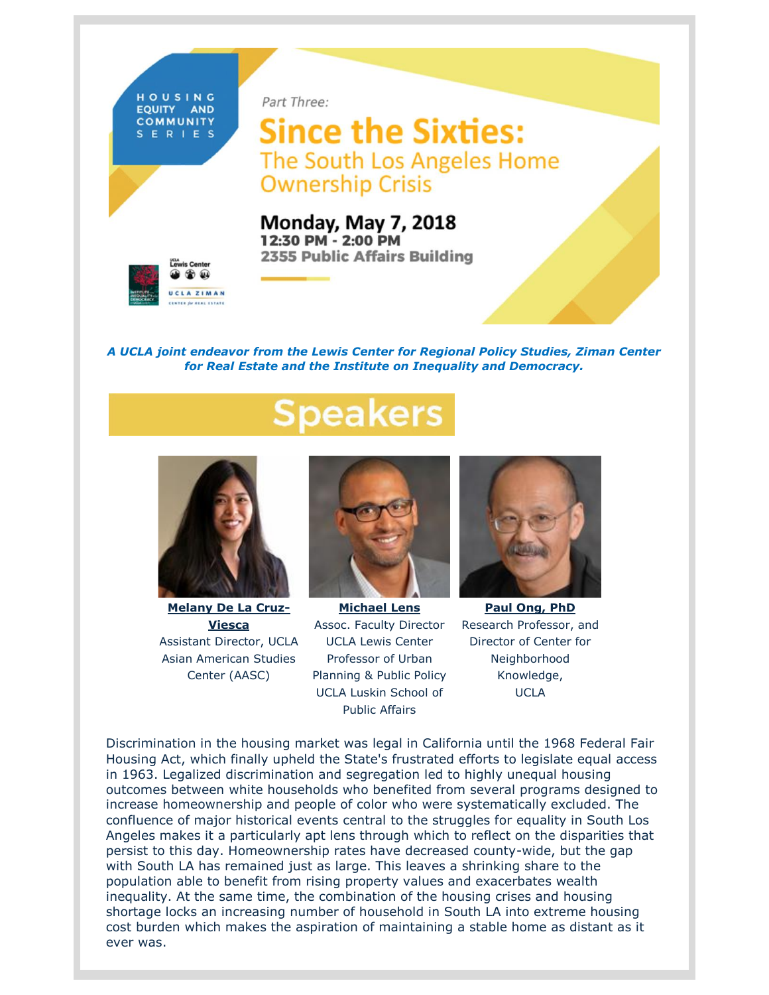

Part Three:

**Since the Sixties:** The South Los Angeles Home **Ownership Crisis** 

**Monday, May 7, 2018** 12:30 PM - 2:00 PM **2355 Public Affairs Building** 



*A UCLA joint endeavor from the Lewis Center for Regional Policy Studies, Ziman Center for Real Estate and the Institute on Inequality and Democracy.*

## peakers



**[Melany De La Cruz-](https://t.e2ma.net/click/q4pxcb/25ia3j/ak3thn)[Viesca](https://t.e2ma.net/click/q4pxcb/25ia3j/ak3thn)** Assistant Director, UCLA Asian American Studies Center (AASC)



**[Michael Lens](https://t.e2ma.net/click/q4pxcb/25ia3j/mx5thn)** Assoc. Faculty Director UCLA Lewis Center Professor of Urban Planning & Public Policy UCLA Luskin School of Public Affairs



**[Paul Ong, PhD](https://t.e2ma.net/click/q4pxcb/25ia3j/ii7thn)** Research Professor, and Director of Center for Neighborhood Knowledge, UCLA

Discrimination in the housing market was legal in California until the 1968 Federal Fair Housing Act, which finally upheld the State's frustrated efforts to legislate equal access in 1963. Legalized discrimination and segregation led to highly unequal housing outcomes between white households who benefited from several programs designed to increase homeownership and people of color who were systematically excluded. The confluence of major historical events central to the struggles for equality in South Los Angeles makes it a particularly apt lens through which to reflect on the disparities that persist to this day. Homeownership rates have decreased county-wide, but the gap with South LA has remained just as large. This leaves a shrinking share to the population able to benefit from rising property values and exacerbates wealth inequality. At the same time, the combination of the housing crises and housing shortage locks an increasing number of household in South LA into extreme housing cost burden which makes the aspiration of maintaining a stable home as distant as it ever was.